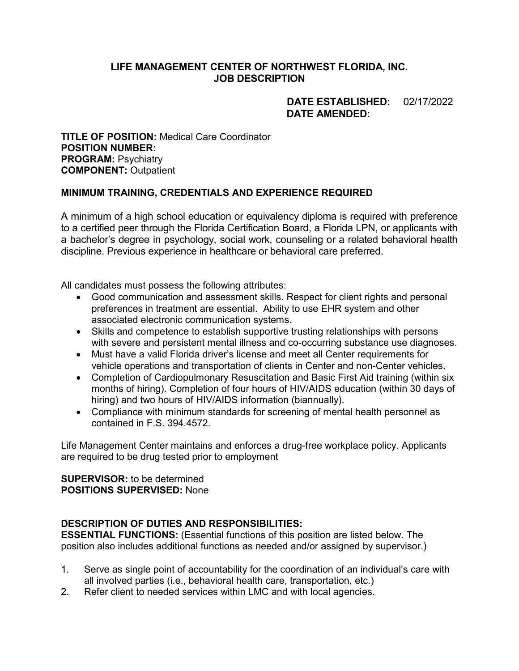## **LIFE MANAGEMENT CENTER OF NORTHWEST FLORIDA, INC. JOB DESCRIPTION**

## **DATE ESTABLISHED:** 02/17/2022 **DATE AMENDED:**

**TITLE OF POSITION:** Medical Care Coordinator **POSITION NUMBER: PROGRAM: Psychiatry COMPONENT:** Outpatient

## **MINIMUM TRAINING, CREDENTIALS AND EXPERIENCE REQUIRED**

A minimum of a high school education or equivalency diploma is required with preference to a certified peer through the Florida Certification Board, a Florida LPN, or applicants with a bachelor's degree in psychology, social work, counseling or a related behavioral health discipline. Previous experience in healthcare or behavioral care preferred.

All candidates must possess the following attributes:

- Good communication and assessment skills. Respect for client rights and personal preferences in treatment are essential. Ability to use EHR system and other associated electronic communication systems.
- Skills and competence to establish supportive trusting relationships with persons with severe and persistent mental illness and co-occurring substance use diagnoses.
- Must have a valid Florida driver's license and meet all Center requirements for vehicle operations and transportation of clients in Center and non-Center vehicles.
- Completion of Cardiopulmonary Resuscitation and Basic First Aid training (within six months of hiring). Completion of four hours of HIV/AIDS education (within 30 days of hiring) and two hours of HIV/AIDS information (biannually).
- Compliance with minimum standards for screening of mental health personnel as contained in F.S. 394.4572.

Life Management Center maintains and enforces a drug-free workplace policy. Applicants are required to be drug tested prior to employment

#### **SUPERVISOR:** to be determined **POSITIONS SUPERVISED:** None

## **DESCRIPTION OF DUTIES AND RESPONSIBILITIES:**

**ESSENTIAL FUNCTIONS:** (Essential functions of this position are listed below. The position also includes additional functions as needed and/or assigned by supervisor.)

- 1. Serve as single point of accountability for the coordination of an individual's care with all involved parties (i.e., behavioral health care, transportation, etc.)
- 2. Refer client to needed services within LMC and with local agencies.